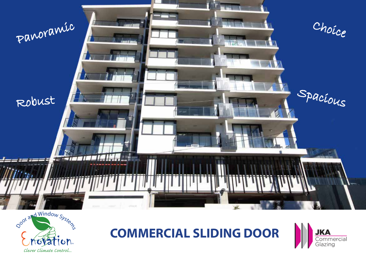



**COMMERCIAL SLIDING DOOR**

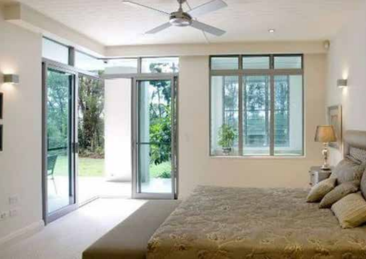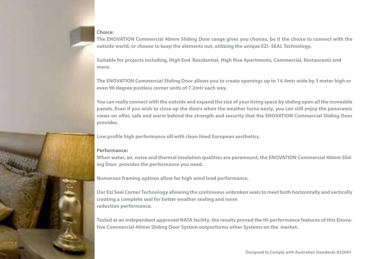## **Choice:**

**The ENOVATION Commercial 40mm Sliding Door range gives you choices, be it the choice to connect with the outside world, or choose to keep the elements out, utilizing the unique EZI–SEAL Technology.**

**Suitable for projects including, High End Residential, High Rise Apartments, Commercial, Restaurants and more.**

**The ENOVATION Commercial Sliding Door allows you to create openings up to 14.4mtr wide by 3 meter high or even 90 degree postless corner units of 7.2mtr each way.**

**You can really connect with the outside and expand the size of your living space by sliding open all the moveable panels. Even if you wish to close up the doors when the weather turns nasty, you can still enjoy the panoramic views on offer, safe and warm behind the strength and security that the ENOVATION Commercial Sliding Door provides.**

**Low profile high performance sill with clean lined European aesthetics.** 

## **Performance:**

**When water, air, noise and thermal insulation qualities are paramount, the ENOVATION Commercial 40mm Sliding Door provides the performance you need.** 

**Numerous framing options allow for high wind load performance.**

**Our Ezi Seal Corner Technology allowing the continuous unbroken seals to meet both horizontally and vertically creating a complete seal for better weather sealing and noise reduction performance.** 

**Tested at an independant approved NATA facility, the results proved the Hi-performance features of this Enovative Commercial 40mm Sliding Door System outperforms other Systems on the market.**